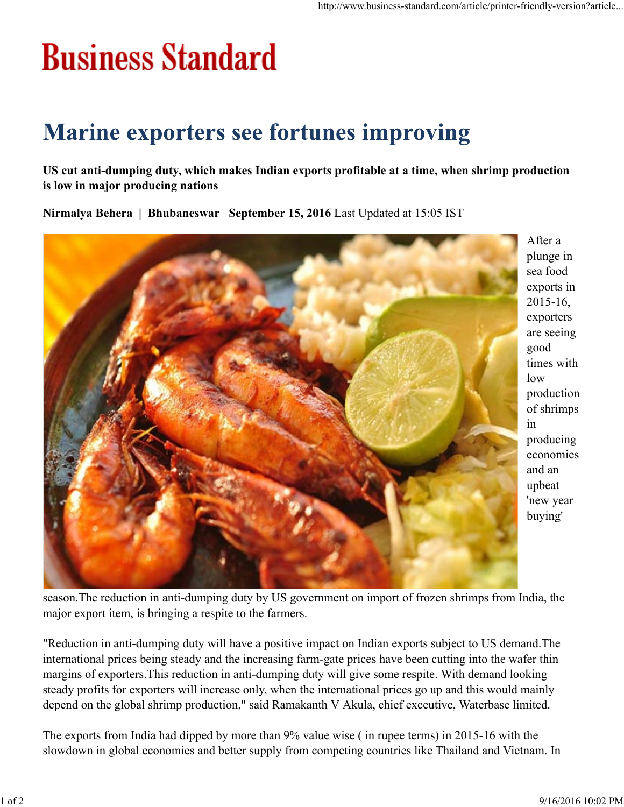## **Business Standard**

## **Marine exporters see fortunes improving**

**US cut anti-dumping duty, which makes Indian exports profitable at a time, when shrimp production is low in major producing nations**

**Nirmalya Behera | Bhubaneswar September 15, 2016** Last Updated at 15:05 IST



After a plunge in sea food exports in 2015-16, exporters are seeing good times with low production of shrimps in producing economies and an upbeat 'new year buying'

season.The reduction in anti-dumping duty by US government on import of frozen shrimps from India, the major export item, is bringing a respite to the farmers.

"Reduction in anti-dumping duty will have a positive impact on Indian exports subject to US demand.The international prices being steady and the increasing farm-gate prices have been cutting into the wafer thin margins of exporters.This reduction in anti-dumping duty will give some respite. With demand looking steady profits for exporters will increase only, when the international prices go up and this would mainly depend on the global shrimp production," said Ramakanth V Akula, chief exceutive, Waterbase limited.

The exports from India had dipped by more than 9% value wise ( in rupee terms) in 2015-16 with the slowdown in global economies and better supply from competing countries like Thailand and Vietnam. In